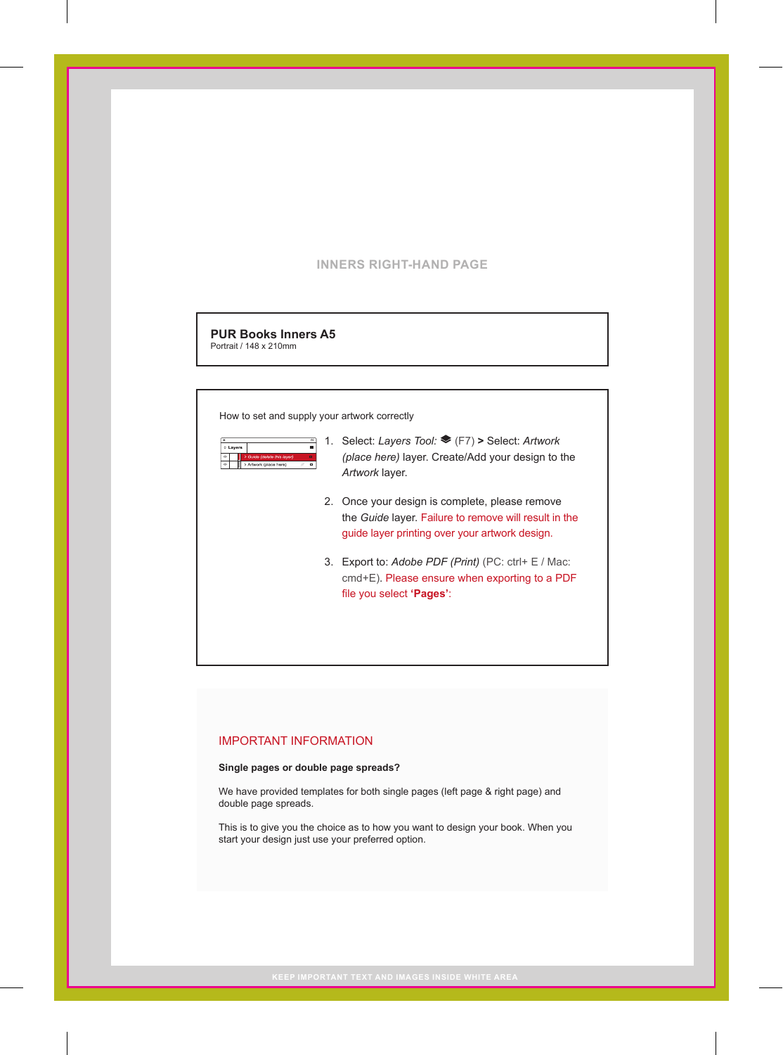## **INNERS RIGHT-HAND PAGE**

**PUR Books Inners A5** Portrait / 148 x 210mm

How to set and supply your artwork correctly



- 1. Select: *Layers Tool:* (F7) **>** Select: *Artwork (place here)* layer. Create/Add your design to the *Artwork* layer.
	- 2. Once your design is complete, please remove the *Guide* layer. Failure to remove will result in the guide layer printing over your artwork design.
	- 3. Export to: *Adobe PDF (Print)* (PC: ctrl+ E / Mac: cmd+E). Please ensure when exporting to a PDF file you select **'Pages'**:

### IMPORTANT INFORMATION

#### **Single pages or double page spreads?**

We have provided templates for both single pages (left page & right page) and double page spreads.

This is to give you the choice as to how you want to design your book. When you start your design just use your preferred option.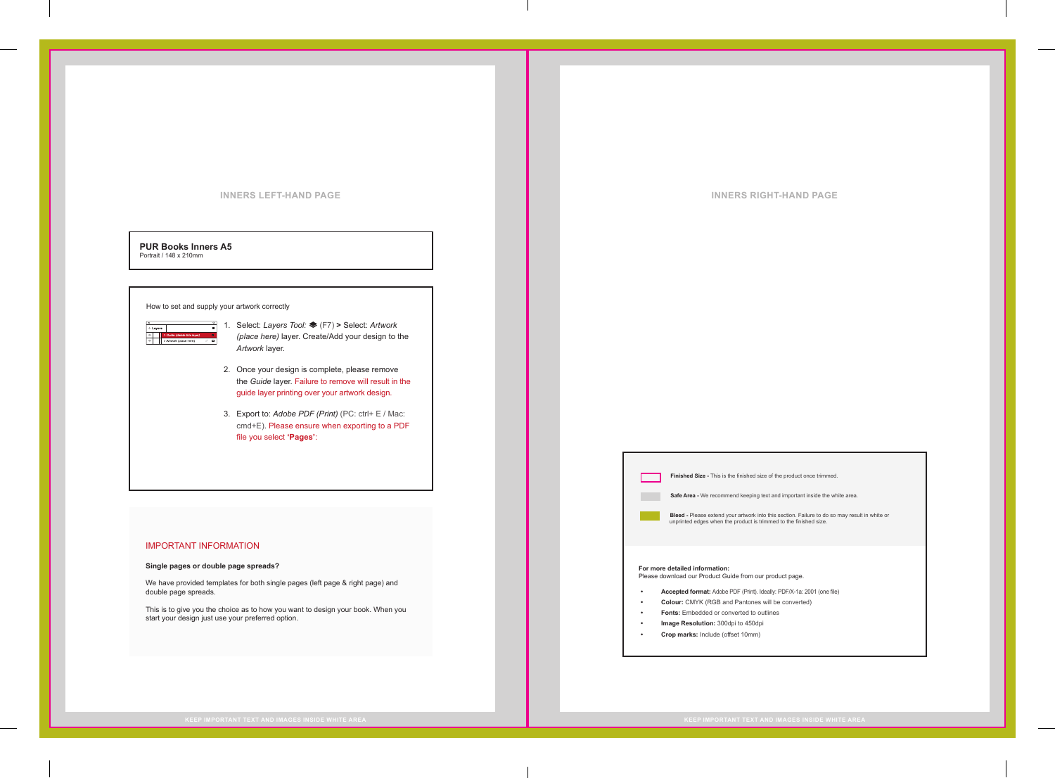#### **INNERS LEFT-HAND PAGE INNERS RIGHT-HAND PAGE**

#### **PUR Books Inners A5** Portrait / 148 x 210mm

#### How to set and supply your artwork correctly

- $\frac{\mathbf{x}}{\text{c Lyers}}$ O → Guide (delete the definition of
	- 1. Select: *Layers Tool:* (F7) **>** Select: *Artwork (place here)* layer. Create/Add your design to the *Artwork* layer.
	- 2. Once your design is complete, please remove the *Guide* layer. Failure to remove will result in the guide layer printing over your artwork design.
	- 3. Export to: *Adobe PDF (Print)* (PC: ctrl+ E / Mac: cmd+E). Please ensure when exporting to a PDF file you select **'Pages'**:

### IMPORTANT INFORMATION

#### **Single pages or double page spreads?**

We have provided templates for both single pages (left page & right page) and double page spreads.

This is to give you the choice as to how you want to design your book. When you start your design just use your preferred option.

**Finished Size -** This is the finished size of the product once trimmed.

**Safe Area - We recommend keeping text and important inside the white area.** 

**Bleed -** Please extend your artwork into this section. Failure to do so may result in white or unprinted edges when the product is trimmed to the finished size.

# **For more detailed information:**  Please download our Product Guide from our product page.

**• Accepted format:** Adobe PDF (Print). Ideally: PDF/X-1a: 2001 (one file)

- **• Colour:** CMYK (RGB and Pantones will be converted)
- **• Fonts:** Embedded or converted to outlines
- **• Image Resolution:** 300dpi to 450dpi
- **• Crop marks:** Include (offset 10mm)